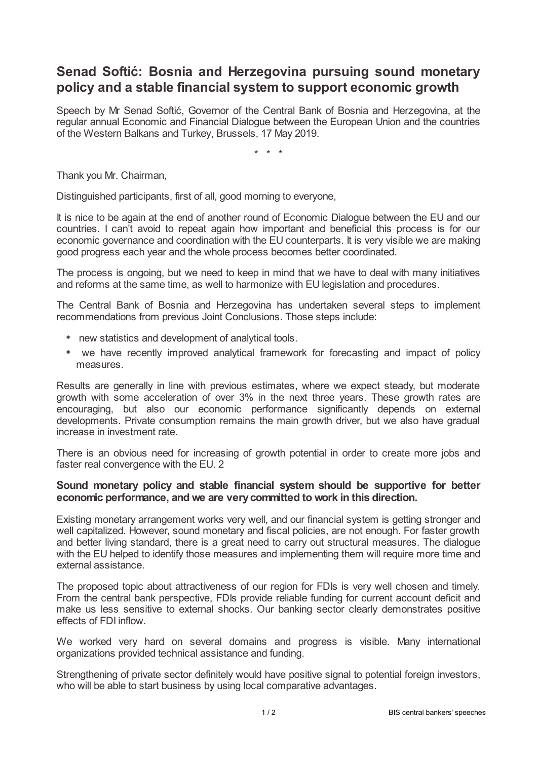## **Senad Softić: Bosnia and Herzegovina pursuing sound monetary policy and a stable financial system to support economic growth**

Speech by Mr Senad Softić, Governor of the Central Bank of Bosnia and Herzegovina, at the regular annual Economic and Financial Dialogue between the European Union and the countries of the Western Balkans and Turkey, Brussels, 17 May 2019.

\* \* \*

Thank you Mr. Chairman,

Distinguished participants, first of all, good morning to everyone,

It is nice to be again at the end of another round of Economic Dialogue between the EU and our countries. I can't avoid to repeat again how important and beneficial this process is for our economic governance and coordination with the EU counterparts. It is very visible we are making good progress each year and the whole process becomes better coordinated.

The process is ongoing, but we need to keep in mind that we have to deal with many initiatives and reforms at the same time, as well to harmonize with EU legislation and procedures.

The Central Bank of Bosnia and Herzegovina has undertaken several steps to implement recommendations from previous Joint Conclusions. Those steps include:

- new statistics and development of analytical tools.
- we have recently improved analytical framework for forecasting and impact of policy measures.

Results are generally in line with previous estimates, where we expect steady, but moderate growth with some acceleration of over 3% in the next three years. These growth rates are encouraging, but also our economic performance significantly depends on external developments. Private consumption remains the main growth driver, but we also have gradual increase in investment rate.

There is an obvious need for increasing of growth potential in order to create more jobs and faster real convergence with the EU. 2

## **Sound monetary policy and stable financial system should be supportive for better economic performance, and we are verycommitted to work in this direction.**

Existing monetary arrangement works very well, and our financial system is getting stronger and well capitalized. However, sound monetary and fiscal policies, are not enough. For faster growth and better living standard, there is a great need to carry out structural measures. The dialogue with the EU helped to identify those measures and implementing them will require more time and external assistance.

The proposed topic about attractiveness of our region for FDIs is very well chosen and timely. From the central bank perspective, FDIs provide reliable funding for current account deficit and make us less sensitive to external shocks. Our banking sector clearly demonstrates positive effects of FDI inflow.

We worked very hard on several domains and progress is visible. Many international organizations provided technical assistance and funding.

Strengthening of private sector definitely would have positive signal to potential foreign investors, who will be able to start business by using local comparative advantages.